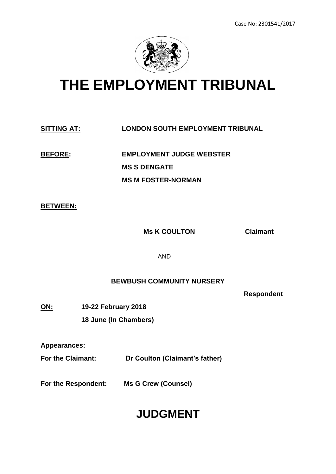

# **THE EMPLOYMENT TRIBUNAL**

# **SITTING AT: LONDON SOUTH EMPLOYMENT TRIBUNAL**

**BEFORE: EMPLOYMENT JUDGE WEBSTER MS S DENGATE MS M FOSTER-NORMAN**

#### **BETWEEN:**

**Ms K COULTON Claimant**

AND

# **BEWBUSH COMMUNITY NURSERY**

**Respondent** 

**ON: 19-22 February 2018 18 June (In Chambers)** 

**Appearances:**

**For the Claimant: Dr Coulton (Claimant's father)**

**For the Respondent: Ms G Crew (Counsel)**

# **JUDGMENT**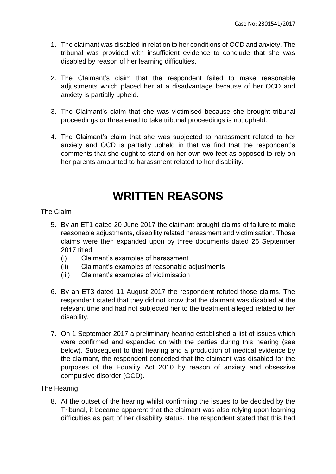- 1. The claimant was disabled in relation to her conditions of OCD and anxiety. The tribunal was provided with insufficient evidence to conclude that she was disabled by reason of her learning difficulties.
- 2. The Claimant's claim that the respondent failed to make reasonable adjustments which placed her at a disadvantage because of her OCD and anxiety is partially upheld.
- 3. The Claimant's claim that she was victimised because she brought tribunal proceedings or threatened to take tribunal proceedings is not upheld.
- 4. The Claimant's claim that she was subjected to harassment related to her anxiety and OCD is partially upheld in that we find that the respondent's comments that she ought to stand on her own two feet as opposed to rely on her parents amounted to harassment related to her disability.

# **WRITTEN REASONS**

# The Claim

- 5. By an ET1 dated 20 June 2017 the claimant brought claims of failure to make reasonable adjustments, disability related harassment and victimisation. Those claims were then expanded upon by three documents dated 25 September 2017 titled:
	- (i) Claimant's examples of harassment
	- (ii) Claimant's examples of reasonable adjustments
	- (iii) Claimant's examples of victimisation
- 6. By an ET3 dated 11 August 2017 the respondent refuted those claims. The respondent stated that they did not know that the claimant was disabled at the relevant time and had not subjected her to the treatment alleged related to her disability.
- 7. On 1 September 2017 a preliminary hearing established a list of issues which were confirmed and expanded on with the parties during this hearing (see below). Subsequent to that hearing and a production of medical evidence by the claimant, the respondent conceded that the claimant was disabled for the purposes of the Equality Act 2010 by reason of anxiety and obsessive compulsive disorder (OCD).

#### The Hearing

8. At the outset of the hearing whilst confirming the issues to be decided by the Tribunal, it became apparent that the claimant was also relying upon learning difficulties as part of her disability status. The respondent stated that this had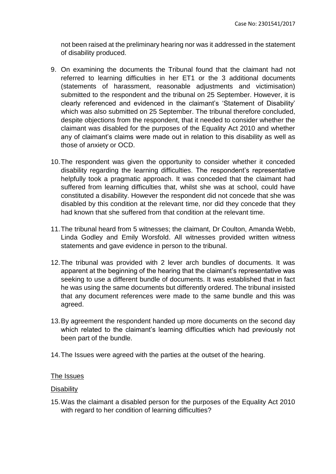not been raised at the preliminary hearing nor was it addressed in the statement of disability produced.

- 9. On examining the documents the Tribunal found that the claimant had not referred to learning difficulties in her ET1 or the 3 additional documents (statements of harassment, reasonable adjustments and victimisation) submitted to the respondent and the tribunal on 25 September. However, it is clearly referenced and evidenced in the claimant's 'Statement of Disability' which was also submitted on 25 September. The tribunal therefore concluded, despite objections from the respondent, that it needed to consider whether the claimant was disabled for the purposes of the Equality Act 2010 and whether any of claimant's claims were made out in relation to this disability as well as those of anxiety or OCD.
- 10.The respondent was given the opportunity to consider whether it conceded disability regarding the learning difficulties. The respondent's representative helpfully took a pragmatic approach. It was conceded that the claimant had suffered from learning difficulties that, whilst she was at school, could have constituted a disability. However the respondent did not concede that she was disabled by this condition at the relevant time, nor did they concede that they had known that she suffered from that condition at the relevant time.
- 11.The tribunal heard from 5 witnesses; the claimant, Dr Coulton, Amanda Webb, Linda Godley and Emily Worsfold. All witnesses provided written witness statements and gave evidence in person to the tribunal.
- 12.The tribunal was provided with 2 lever arch bundles of documents. It was apparent at the beginning of the hearing that the claimant's representative was seeking to use a different bundle of documents. It was established that in fact he was using the same documents but differently ordered. The tribunal insisted that any document references were made to the same bundle and this was agreed.
- 13.By agreement the respondent handed up more documents on the second day which related to the claimant's learning difficulties which had previously not been part of the bundle.
- 14.The Issues were agreed with the parties at the outset of the hearing.

#### The Issues

#### **Disability**

15.Was the claimant a disabled person for the purposes of the Equality Act 2010 with regard to her condition of learning difficulties?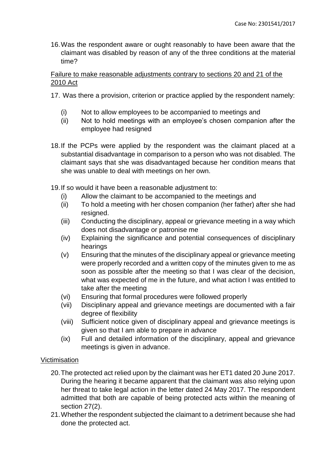16.Was the respondent aware or ought reasonably to have been aware that the claimant was disabled by reason of any of the three conditions at the material time?

Failure to make reasonable adjustments contrary to sections 20 and 21 of the 2010 Act

- 17. Was there a provision, criterion or practice applied by the respondent namely:
	- (i) Not to allow employees to be accompanied to meetings and
	- (ii) Not to hold meetings with an employee's chosen companion after the employee had resigned
- 18.If the PCPs were applied by the respondent was the claimant placed at a substantial disadvantage in comparison to a person who was not disabled. The claimant says that she was disadvantaged because her condition means that she was unable to deal with meetings on her own.
- 19.If so would it have been a reasonable adjustment to:
	- (i) Allow the claimant to be accompanied to the meetings and
	- (ii) To hold a meeting with her chosen companion (her father) after she had resigned.
	- (iii) Conducting the disciplinary, appeal or grievance meeting in a way which does not disadvantage or patronise me
	- (iv) Explaining the significance and potential consequences of disciplinary hearings
	- (v) Ensuring that the minutes of the disciplinary appeal or grievance meeting were properly recorded and a written copy of the minutes given to me as soon as possible after the meeting so that I was clear of the decision, what was expected of me in the future, and what action I was entitled to take after the meeting
	- (vi) Ensuring that formal procedures were followed properly
	- (vii) Disciplinary appeal and grievance meetings are documented with a fair degree of flexibility
	- (viii) Sufficient notice given of disciplinary appeal and grievance meetings is given so that I am able to prepare in advance
	- (ix) Full and detailed information of the disciplinary, appeal and grievance meetings is given in advance.

# Victimisation

- 20.The protected act relied upon by the claimant was her ET1 dated 20 June 2017. During the hearing it became apparent that the claimant was also relying upon her threat to take legal action in the letter dated 24 May 2017. The respondent admitted that both are capable of being protected acts within the meaning of section 27(2).
- 21.Whether the respondent subjected the claimant to a detriment because she had done the protected act.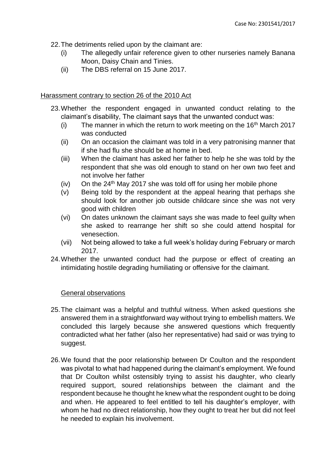22.The detriments relied upon by the claimant are:

- (i) The allegedly unfair reference given to other nurseries namely Banana Moon, Daisy Chain and Tinies.
- (ii) The DBS referral on 15 June 2017.

# Harassment contrary to section 26 of the 2010 Act

- 23.Whether the respondent engaged in unwanted conduct relating to the claimant's disability, The claimant says that the unwanted conduct was:
	- (i) The manner in which the return to work meeting on the  $16<sup>th</sup>$  March 2017 was conducted
	- (ii) On an occasion the claimant was told in a very patronising manner that if she had flu she should be at home in bed.
	- (iii) When the claimant has asked her father to help he she was told by the respondent that she was old enough to stand on her own two feet and not involve her father
	- (iv) On the  $24<sup>th</sup>$  May 2017 she was told off for using her mobile phone
	- (v) Being told by the respondent at the appeal hearing that perhaps she should look for another job outside childcare since she was not very good with children
	- (vi) On dates unknown the claimant says she was made to feel guilty when she asked to rearrange her shift so she could attend hospital for venesection.
	- (vii) Not being allowed to take a full week's holiday during February or march 2017.
- 24.Whether the unwanted conduct had the purpose or effect of creating an intimidating hostile degrading humiliating or offensive for the claimant.

# General observations

- 25.The claimant was a helpful and truthful witness. When asked questions she answered them in a straightforward way without trying to embellish matters. We concluded this largely because she answered questions which frequently contradicted what her father (also her representative) had said or was trying to suggest.
- 26.We found that the poor relationship between Dr Coulton and the respondent was pivotal to what had happened during the claimant's employment. We found that Dr Coulton whilst ostensibly trying to assist his daughter, who clearly required support, soured relationships between the claimant and the respondent because he thought he knew what the respondent ought to be doing and when. He appeared to feel entitled to tell his daughter's employer, with whom he had no direct relationship, how they ought to treat her but did not feel he needed to explain his involvement.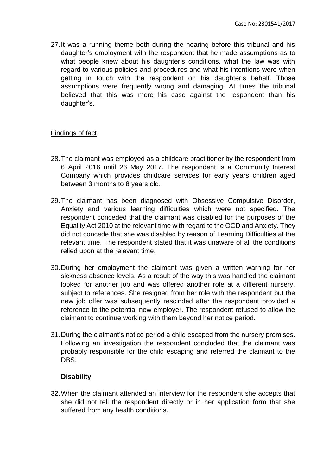27.It was a running theme both during the hearing before this tribunal and his daughter's employment with the respondent that he made assumptions as to what people knew about his daughter's conditions, what the law was with regard to various policies and procedures and what his intentions were when getting in touch with the respondent on his daughter's behalf. Those assumptions were frequently wrong and damaging. At times the tribunal believed that this was more his case against the respondent than his daughter's.

#### Findings of fact

- 28.The claimant was employed as a childcare practitioner by the respondent from 6 April 2016 until 26 May 2017. The respondent is a Community Interest Company which provides childcare services for early years children aged between 3 months to 8 years old.
- 29.The claimant has been diagnosed with Obsessive Compulsive Disorder, Anxiety and various learning difficulties which were not specified. The respondent conceded that the claimant was disabled for the purposes of the Equality Act 2010 at the relevant time with regard to the OCD and Anxiety. They did not concede that she was disabled by reason of Learning Difficulties at the relevant time. The respondent stated that it was unaware of all the conditions relied upon at the relevant time.
- 30.During her employment the claimant was given a written warning for her sickness absence levels. As a result of the way this was handled the claimant looked for another job and was offered another role at a different nursery, subject to references. She resigned from her role with the respondent but the new job offer was subsequently rescinded after the respondent provided a reference to the potential new employer. The respondent refused to allow the claimant to continue working with them beyond her notice period.
- 31.During the claimant's notice period a child escaped from the nursery premises. Following an investigation the respondent concluded that the claimant was probably responsible for the child escaping and referred the claimant to the DBS.

#### **Disability**

32.When the claimant attended an interview for the respondent she accepts that she did not tell the respondent directly or in her application form that she suffered from any health conditions.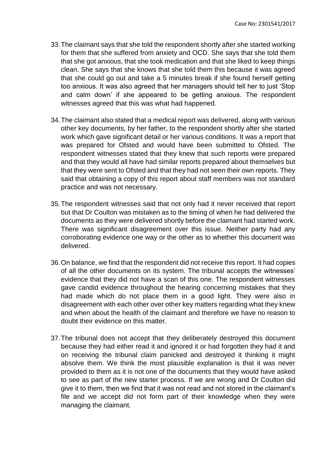- 33.The claimant says that she told the respondent shortly after she started working for them that she suffered from anxiety and OCD. She says that she told them that she got anxious, that she took medication and that she liked to keep things clean. She says that she knows that she told them this because it was agreed that she could go out and take a 5 minutes break if she found herself getting too anxious. It was also agreed that her managers should tell her to just 'Stop and calm down' if she appeared to be getting anxious. The respondent witnesses agreed that this was what had happened.
- 34.The claimant also stated that a medical report was delivered, along with various other key documents, by her father, to the respondent shortly after she started work which gave significant detail or her various conditions. It was a report that was prepared for Ofsted and would have been submitted to Ofsted. The respondent witnesses stated that they knew that such reports were prepared and that they would all have had similar reports prepared about themselves but that they were sent to Ofsted and that they had not seen their own reports. They said that obtaining a copy of this report about staff members was not standard practice and was not necessary.
- 35.The respondent witnesses said that not only had it never received that report but that Dr Coulton was mistaken as to the timing of when he had delivered the documents as they were delivered shortly before the claimant had started work. There was significant disagreement over this issue. Neither party had any corroborating evidence one way or the other as to whether this document was delivered.
- 36.On balance, we find that the respondent did not receive this report. It had copies of all the other documents on its system. The tribunal accepts the witnesses' evidence that they did not have a scan of this one. The respondent witnesses gave candid evidence throughout the hearing concerning mistakes that they had made which do not place them in a good light. They were also in disagreement with each other over other key matters regarding what they knew and when about the health of the claimant and therefore we have no reason to doubt their evidence on this matter.
- 37.The tribunal does not accept that they deliberately destroyed this document because they had either read it and ignored it or had forgotten they had it and on receiving the tribunal claim panicked and destroyed it thinking it might absolve them. We think the most plausible explanation is that it was never provided to them as it is not one of the documents that they would have asked to see as part of the new starter process. If we are wrong and Dr Coulton did give it to them, then we find that it was not read and not stored in the claimant's file and we accept did not form part of their knowledge when they were managing the claimant.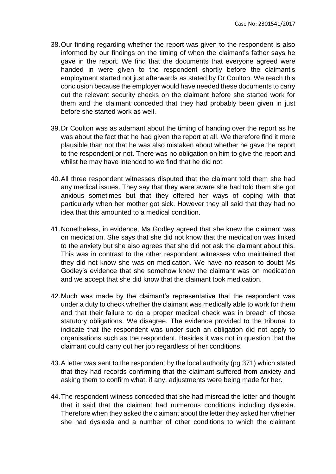- 38.Our finding regarding whether the report was given to the respondent is also informed by our findings on the timing of when the claimant's father says he gave in the report. We find that the documents that everyone agreed were handed in were given to the respondent shortly before the claimant's employment started not just afterwards as stated by Dr Coulton. We reach this conclusion because the employer would have needed these documents to carry out the relevant security checks on the claimant before she started work for them and the claimant conceded that they had probably been given in just before she started work as well.
- 39.Dr Coulton was as adamant about the timing of handing over the report as he was about the fact that he had given the report at all. We therefore find it more plausible than not that he was also mistaken about whether he gave the report to the respondent or not. There was no obligation on him to give the report and whilst he may have intended to we find that he did not.
- 40.All three respondent witnesses disputed that the claimant told them she had any medical issues. They say that they were aware she had told them she got anxious sometimes but that they offered her ways of coping with that particularly when her mother got sick. However they all said that they had no idea that this amounted to a medical condition.
- 41.Nonetheless, in evidence, Ms Godley agreed that she knew the claimant was on medication. She says that she did not know that the medication was linked to the anxiety but she also agrees that she did not ask the claimant about this. This was in contrast to the other respondent witnesses who maintained that they did not know she was on medication. We have no reason to doubt Ms Godley's evidence that she somehow knew the claimant was on medication and we accept that she did know that the claimant took medication.
- 42.Much was made by the claimant's representative that the respondent was under a duty to check whether the claimant was medically able to work for them and that their failure to do a proper medical check was in breach of those statutory obligations. We disagree. The evidence provided to the tribunal to indicate that the respondent was under such an obligation did not apply to organisations such as the respondent. Besides it was not in question that the claimant could carry out her job regardless of her conditions.
- 43.A letter was sent to the respondent by the local authority (pg 371) which stated that they had records confirming that the claimant suffered from anxiety and asking them to confirm what, if any, adjustments were being made for her.
- 44.The respondent witness conceded that she had misread the letter and thought that it said that the claimant had numerous conditions including dyslexia. Therefore when they asked the claimant about the letter they asked her whether she had dyslexia and a number of other conditions to which the claimant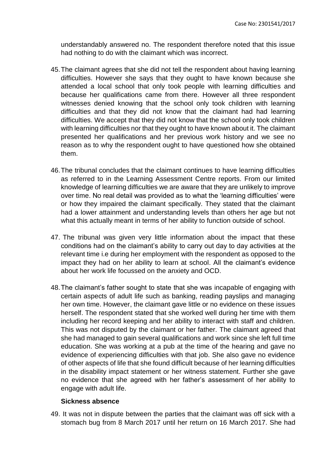understandably answered no. The respondent therefore noted that this issue had nothing to do with the claimant which was incorrect.

- 45.The claimant agrees that she did not tell the respondent about having learning difficulties. However she says that they ought to have known because she attended a local school that only took people with learning difficulties and because her qualifications came from there. However all three respondent witnesses denied knowing that the school only took children with learning difficulties and that they did not know that the claimant had had learning difficulties. We accept that they did not know that the school only took children with learning difficulties nor that they ought to have known about it. The claimant presented her qualifications and her previous work history and we see no reason as to why the respondent ought to have questioned how she obtained them.
- 46.The tribunal concludes that the claimant continues to have learning difficulties as referred to in the Learning Assessment Centre reports. From our limited knowledge of learning difficulties we are aware that they are unlikely to improve over time. No real detail was provided as to what the 'learning difficulties' were or how they impaired the claimant specifically. They stated that the claimant had a lower attainment and understanding levels than others her age but not what this actually meant in terms of her ability to function outside of school.
- 47. The tribunal was given very little information about the impact that these conditions had on the claimant's ability to carry out day to day activities at the relevant time i.e during her employment with the respondent as opposed to the impact they had on her ability to learn at school. All the claimant's evidence about her work life focussed on the anxiety and OCD.
- 48.The claimant's father sought to state that she was incapable of engaging with certain aspects of adult life such as banking, reading payslips and managing her own time. However, the claimant gave little or no evidence on these issues herself. The respondent stated that she worked well during her time with them including her record keeping and her ability to interact with staff and children. This was not disputed by the claimant or her father. The claimant agreed that she had managed to gain several qualifications and work since she left full time education. She was working at a pub at the time of the hearing and gave no evidence of experiencing difficulties with that job. She also gave no evidence of other aspects of life that she found difficult because of her learning difficulties in the disability impact statement or her witness statement. Further she gave no evidence that she agreed with her father's assessment of her ability to engage with adult life.

#### **Sickness absence**

49. It was not in dispute between the parties that the claimant was off sick with a stomach bug from 8 March 2017 until her return on 16 March 2017. She had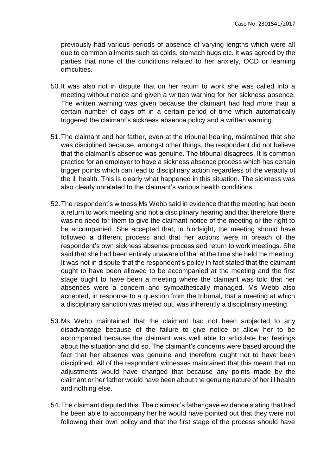previously had various periods of absence of varying lengths which were all due to common ailments such as colds, stomach bugs etc. It was agreed by the parties that none of the conditions related to her anxiety, OCD or learning difficulties.

- 50.It was also not in dispute that on her return to work she was called into a meeting without notice and given a written warning for her sickness absence. The written warning was given because the claimant had had more than a certain number of days off in a certain period of time which automatically triggered the claimant's sickness absence policy and a written warning.
- 51.The claimant and her father, even at the tribunal hearing, maintained that she was disciplined because, amongst other things, the respondent did not believe that the claimant's absence was genuine. The tribunal disagrees. It is common practice for an employer to have a sickness absence process which has certain trigger points which can lead to disciplinary action regardless of the veracity of the ill health. This is clearly what happened in this situation. The sickness was also clearly unrelated to the claimant's various health conditions.
- 52.The respondent's witness Ms Webb said in evidence that the meeting had been a return to work meeting and not a disciplinary hearing and that therefore there was no need for them to give the claimant notice of the meeting or the right to be accompanied. She accepted that, in hindsight, the meeting should have followed a different process and that her actions were in breach of the respondent's own sickness absence process and return to work meetings. She said that she had been entirely unaware of that at the time she held the meeting. It was not in dispute that the respondent's policy in fact stated that the claimant ought to have been allowed to be accompanied at the meeting and the first stage ought to have been a meeting where the claimant was told that her absences were a concern and sympathetically managed. Ms Webb also accepted, in response to a question from the tribunal, that a meeting at which a disciplinary sanction was meted out, was inherently a disciplinary meeting.
- 53.Ms Webb maintained that the claimant had not been subjected to any disadvantage because of the failure to give notice or allow her to be accompanied because the claimant was well able to articulate her feelings about the situation and did so. The claimant's concerns were based around the fact that her absence was genuine and therefore ought not to have been disciplined. All of the respondent witnesses maintained that this meant that no adjustments would have changed that because any points made by the claimant or her father would have been about the genuine nature of her ill health and nothing else.
- 54.The claimant disputed this. The claimant's father gave evidence stating that had he been able to accompany her he would have pointed out that they were not following their own policy and that the first stage of the process should have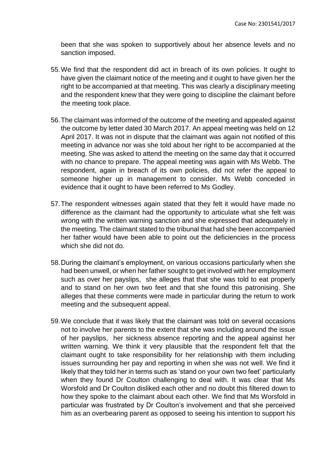been that she was spoken to supportively about her absence levels and no sanction imposed.

- 55.We find that the respondent did act in breach of its own policies. It ought to have given the claimant notice of the meeting and it ought to have given her the right to be accompanied at that meeting. This was clearly a disciplinary meeting and the respondent knew that they were going to discipline the claimant before the meeting took place.
- 56.The claimant was informed of the outcome of the meeting and appealed against the outcome by letter dated 30 March 2017. An appeal meeting was held on 12 April 2017. It was not in dispute that the claimant was again not notified of this meeting in advance nor was she told about her right to be accompanied at the meeting. She was asked to attend the meeting on the same day that it occurred with no chance to prepare. The appeal meeting was again with Ms Webb. The respondent, again in breach of its own policies, did not refer the appeal to someone higher up in management to consider. Ms Webb conceded in evidence that it ought to have been referred to Ms Godley.
- 57.The respondent witnesses again stated that they felt it would have made no difference as the claimant had the opportunity to articulate what she felt was wrong with the written warning sanction and she expressed that adequately in the meeting. The claimant stated to the tribunal that had she been accompanied her father would have been able to point out the deficiencies in the process which she did not do.
- 58.During the claimant's employment, on various occasions particularly when she had been unwell, or when her father sought to get involved with her employment such as over her payslips, she alleges that that she was told to eat properly and to stand on her own two feet and that she found this patronising. She alleges that these comments were made in particular during the return to work meeting and the subsequent appeal.
- 59.We conclude that it was likely that the claimant was told on several occasions not to involve her parents to the extent that she was including around the issue of her payslips, her sickness absence reporting and the appeal against her written warning. We think it very plausible that the respondent felt that the claimant ought to take responsibility for her relationship with them including issues surrounding her pay and reporting in when she was not well. We find it likely that they told her in terms such as 'stand on your own two feet' particularly when they found Dr Coulton challenging to deal with. It was clear that Ms Worsfold and Dr Coulton disliked each other and no doubt this filtered down to how they spoke to the claimant about each other. We find that Ms Worsfold in particular was frustrated by Dr Coulton's involvement and that she perceived him as an overbearing parent as opposed to seeing his intention to support his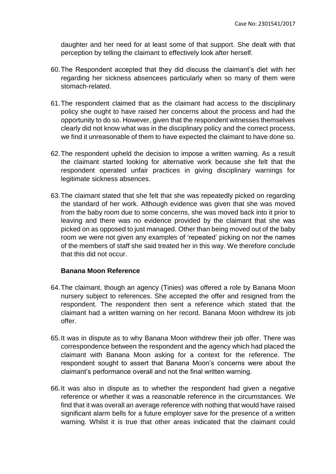daughter and her need for at least some of that support. She dealt with that perception by telling the claimant to effectively look after herself.

- 60.The Respondent accepted that they did discuss the claimant's diet with her regarding her sickness absencees particularly when so many of them were stomach-related.
- 61.The respondent claimed that as the claimant had access to the disciplinary policy she ought to have raised her concerns about the process and had the opportunity to do so. However, given that the respondent witnesses themselves clearly did not know what was in the disciplinary policy and the correct process, we find it unreasonable of them to have expected the claimant to have done so.
- 62.The respondent upheld the decision to impose a written warning. As a result the claimant started looking for alternative work because she felt that the respondent operated unfair practices in giving disciplinary warnings for legitimate sickness absences.
- 63.The claimant stated that she felt that she was repeatedly picked on regarding the standard of her work. Although evidence was given that she was moved from the baby room due to some concerns, she was moved back into it prior to leaving and there was no evidence provided by the claimant that she was picked on as opposed to just managed. Other than being moved out of the baby room we were not given any examples of 'repeated' picking on nor the names of the members of staff she said treated her in this way. We therefore conclude that this did not occur.

#### **Banana Moon Reference**

- 64.The claimant, though an agency (Tinies) was offered a role by Banana Moon nursery subject to references. She accepted the offer and resigned from the respondent. The respondent then sent a reference which stated that the claimant had a written warning on her record. Banana Moon withdrew its job offer.
- 65.It was in dispute as to why Banana Moon withdrew their job offer. There was correspondence between the respondent and the agency which had placed the claimant with Banana Moon asking for a context for the reference. The respondent sought to assert that Banana Moon's concerns were about the claimant's performance overall and not the final written warning.
- 66.It was also in dispute as to whether the respondent had given a negative reference or whether it was a reasonable reference in the circumstances. We find that it was overall an average reference with nothing that would have raised significant alarm bells for a future employer save for the presence of a written warning. Whilst it is true that other areas indicated that the claimant could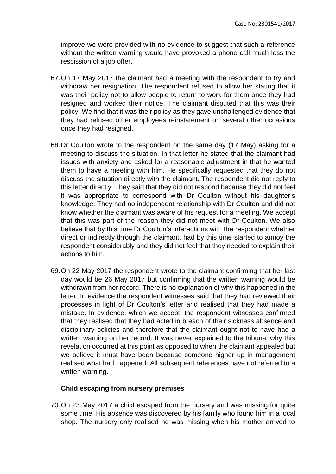improve we were provided with no evidence to suggest that such a reference without the written warning would have provoked a phone call much less the rescission of a job offer.

- 67.On 17 May 2017 the claimant had a meeting with the respondent to try and withdraw her resignation. The respondent refused to allow her stating that it was their policy not to allow people to return to work for them once they had resigned and worked their notice. The claimant disputed that this was their policy. We find that it was their policy as they gave unchallenged evidence that they had refused other employees reinstatement on several other occasions once they had resigned.
- 68.Dr Coulton wrote to the respondent on the same day (17 May) asking for a meeting to discuss the situation. In that letter he stated that the claimant had issues with anxiety and asked for a reasonable adjustment in that he wanted them to have a meeting with him. He specifically requested that they do not discuss the situation directly with the claimant. The respondent did not reply to this letter directly. They said that they did not respond because they did not feel it was appropriate to correspond with Dr Coulton without his daughter's knowledge. They had no independent relationship with Dr Coulton and did not know whether the claimant was aware of his request for a meeting. We accept that this was part of the reason they did not meet with Dr Coulton. We also believe that by this time Dr Coulton's interactions with the respondent whether direct or indirectly through the claimant, had by this time started to annoy the respondent considerably and they did not feel that they needed to explain their actions to him.
- 69.On 22 May 2017 the respondent wrote to the claimant confirming that her last day would be 26 May 2017 but confirming that the written warning would be withdrawn from her record. There is no explanation of why this happened in the letter. In evidence the respondent witnesses said that they had reviewed their processes in light of Dr Coulton's letter and realised that they had made a mistake. In evidence, which we accept, the respondent witnesses confirmed that they realised that they had acted in breach of their sickness absence and disciplinary policies and therefore that the claimant ought not to have had a written warning on her record. It was never explained to the tribunal why this revelation occurred at this point as opposed to when the claimant appealed but we believe it must have been because someone higher up in management realised what had happened. All subsequent references have not referred to a written warning.

#### **Child escaping from nursery premises**

70.On 23 May 2017 a child escaped from the nursery and was missing for quite some time. His absence was discovered by his family who found him in a local shop. The nursery only realised he was missing when his mother arrived to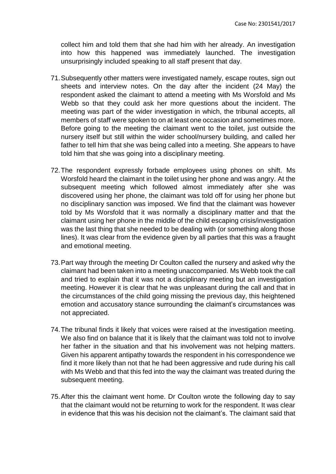collect him and told them that she had him with her already. An investigation into how this happened was immediately launched. The investigation unsurprisingly included speaking to all staff present that day.

- 71.Subsequently other matters were investigated namely, escape routes, sign out sheets and interview notes. On the day after the incident (24 May) the respondent asked the claimant to attend a meeting with Ms Worsfold and Ms Webb so that they could ask her more questions about the incident. The meeting was part of the wider investigation in which, the tribunal accepts, all members of staff were spoken to on at least one occasion and sometimes more. Before going to the meeting the claimant went to the toilet, just outside the nursery itself but still within the wider school/nursery building, and called her father to tell him that she was being called into a meeting. She appears to have told him that she was going into a disciplinary meeting.
- 72.The respondent expressly forbade employees using phones on shift. Ms Worsfold heard the claimant in the toilet using her phone and was angry. At the subsequent meeting which followed almost immediately after she was discovered using her phone, the claimant was told off for using her phone but no disciplinary sanction was imposed. We find that the claimant was however told by Ms Worsfold that it was normally a disciplinary matter and that the claimant using her phone in the middle of the child escaping crisis/investigation was the last thing that she needed to be dealing with (or something along those lines). It was clear from the evidence given by all parties that this was a fraught and emotional meeting.
- 73.Part way through the meeting Dr Coulton called the nursery and asked why the claimant had been taken into a meeting unaccompanied. Ms Webb took the call and tried to explain that it was not a disciplinary meeting but an investigation meeting. However it is clear that he was unpleasant during the call and that in the circumstances of the child going missing the previous day, this heightened emotion and accusatory stance surrounding the claimant's circumstances was not appreciated.
- 74.The tribunal finds it likely that voices were raised at the investigation meeting. We also find on balance that it is likely that the claimant was told not to involve her father in the situation and that his involvement was not helping matters. Given his apparent antipathy towards the respondent in his correspondence we find it more likely than not that he had been aggressive and rude during his call with Ms Webb and that this fed into the way the claimant was treated during the subsequent meeting.
- 75.After this the claimant went home. Dr Coulton wrote the following day to say that the claimant would not be returning to work for the respondent. It was clear in evidence that this was his decision not the claimant's. The claimant said that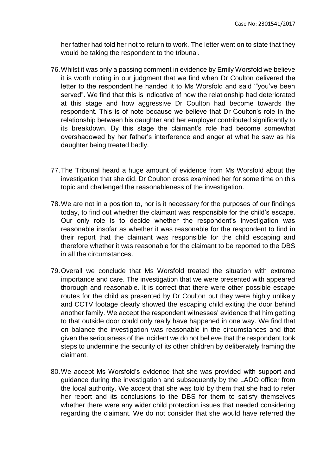her father had told her not to return to work. The letter went on to state that they would be taking the respondent to the tribunal.

- 76.Whilst it was only a passing comment in evidence by Emily Worsfold we believe it is worth noting in our judgment that we find when Dr Coulton delivered the letter to the respondent he handed it to Ms Worsfold and said '"you've been served". We find that this is indicative of how the relationship had deteriorated at this stage and how aggressive Dr Coulton had become towards the respondent. This is of note because we believe that Dr Coulton's role in the relationship between his daughter and her employer contributed significantly to its breakdown. By this stage the claimant's role had become somewhat overshadowed by her father's interference and anger at what he saw as his daughter being treated badly.
- 77.The Tribunal heard a huge amount of evidence from Ms Worsfold about the investigation that she did. Dr Coulton cross examined her for some time on this topic and challenged the reasonableness of the investigation.
- 78.We are not in a position to, nor is it necessary for the purposes of our findings today, to find out whether the claimant was responsible for the child's escape. Our only role is to decide whether the respondent's investigation was reasonable insofar as whether it was reasonable for the respondent to find in their report that the claimant was responsible for the child escaping and therefore whether it was reasonable for the claimant to be reported to the DBS in all the circumstances.
- 79.Overall we conclude that Ms Worsfold treated the situation with extreme importance and care. The investigation that we were presented with appeared thorough and reasonable. It is correct that there were other possible escape routes for the child as presented by Dr Coulton but they were highly unlikely and CCTV footage clearly showed the escaping child exiting the door behind another family. We accept the respondent witnesses' evidence that him getting to that outside door could only really have happened in one way. We find that on balance the investigation was reasonable in the circumstances and that given the seriousness of the incident we do not believe that the respondent took steps to undermine the security of its other children by deliberately framing the claimant.
- 80.We accept Ms Worsfold's evidence that she was provided with support and guidance during the investigation and subsequently by the LADO officer from the local authority. We accept that she was told by them that she had to refer her report and its conclusions to the DBS for them to satisfy themselves whether there were any wider child protection issues that needed considering regarding the claimant. We do not consider that she would have referred the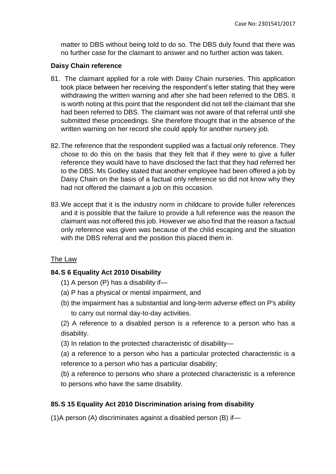matter to DBS without being told to do so. The DBS duly found that there was no further case for the claimant to answer and no further action was taken.

# **Daisy Chain reference**

- 81. The claimant applied for a role with Daisy Chain nurseries. This application took place between her receiving the respondent's letter stating that they were withdrawing the written warning and after she had been referred to the DBS. It is worth noting at this point that the respondent did not tell the claimant that she had been referred to DBS. The claimant was not aware of that referral until she submitted these proceedings. She therefore thought that in the absence of the written warning on her record she could apply for another nursery job.
- 82.The reference that the respondent supplied was a factual only reference. They chose to do this on the basis that they felt that if they were to give a fuller reference they would have to have disclosed the fact that they had referred her to the DBS. Ms Godley stated that another employee had been offered a job by Daisy Chain on the basis of a factual only reference so did not know why they had not offered the claimant a job on this occasion.
- 83.We accept that it is the industry norm in childcare to provide fuller references and it is possible that the failure to provide a full reference was the reason the claimant was not offered this job. However we also find that the reason a factual only reference was given was because of the child escaping and the situation with the DBS referral and the position this placed them in.

#### The Law

# **84.S 6 Equality Act 2010 Disability**

- (1) A person (P) has a disability if—
- (a) P has a physical or mental impairment, and
- (b) the impairment has a substantial and long-term adverse effect on P's ability to carry out normal day-to-day activities.

(2) A reference to a disabled person is a reference to a person who has a disability.

(3) In relation to the protected characteristic of disability—

(a) a reference to a person who has a particular protected characteristic is a reference to a person who has a particular disability;

(b) a reference to persons who share a protected characteristic is a reference to persons who have the same disability.

# **85.S 15 Equality Act 2010 Discrimination arising from disability**

(1)A person (A) discriminates against a disabled person (B) if—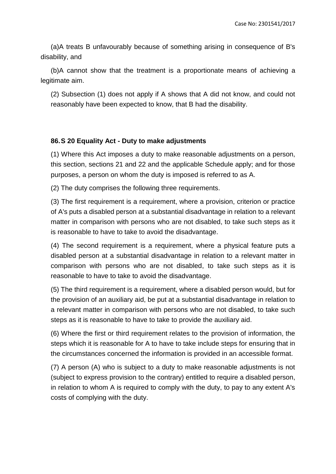(a)A treats B unfavourably because of something arising in consequence of B's disability, and

(b)A cannot show that the treatment is a proportionate means of achieving a legitimate aim.

(2) Subsection (1) does not apply if A shows that A did not know, and could not reasonably have been expected to know, that B had the disability.

# **86.S 20 Equality Act - Duty to make adjustments**

(1) Where this Act imposes a duty to make reasonable adjustments on a person, this section, sections 21 and 22 and the applicable Schedule apply; and for those purposes, a person on whom the duty is imposed is referred to as A.

(2) The duty comprises the following three requirements.

(3) The first requirement is a requirement, where a provision, criterion or practice of A's puts a disabled person at a substantial disadvantage in relation to a relevant matter in comparison with persons who are not disabled, to take such steps as it is reasonable to have to take to avoid the disadvantage.

(4) The second requirement is a requirement, where a physical feature puts a disabled person at a substantial disadvantage in relation to a relevant matter in comparison with persons who are not disabled, to take such steps as it is reasonable to have to take to avoid the disadvantage.

(5) The third requirement is a requirement, where a disabled person would, but for the provision of an auxiliary aid, be put at a substantial disadvantage in relation to a relevant matter in comparison with persons who are not disabled, to take such steps as it is reasonable to have to take to provide the auxiliary aid.

(6) Where the first or third requirement relates to the provision of information, the steps which it is reasonable for A to have to take include steps for ensuring that in the circumstances concerned the information is provided in an accessible format.

(7) A person (A) who is subject to a duty to make reasonable adjustments is not (subject to express provision to the contrary) entitled to require a disabled person, in relation to whom A is required to comply with the duty, to pay to any extent A's costs of complying with the duty.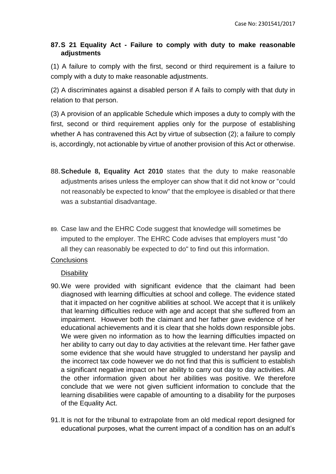# **87.S 21 Equality Act - Failure to comply with duty to make reasonable adjustments**

(1) A failure to comply with the first, second or third requirement is a failure to comply with a duty to make reasonable adjustments.

(2) A discriminates against a disabled person if A fails to comply with that duty in relation to that person.

(3) A provision of an applicable Schedule which imposes a duty to comply with the first, second or third requirement applies only for the purpose of establishing whether A has contravened this Act by virtue of subsection (2); a failure to comply is, accordingly, not actionable by virtue of another provision of this Act or otherwise.

- 88.**Schedule 8, Equality Act 2010** states that the duty to make reasonable adjustments arises unless the employer can show that it did not know or "could not reasonably be expected to know" that the employee is disabled or that there was a substantial disadvantage.
- 89. Case law and the EHRC Code suggest that knowledge will sometimes be imputed to the employer. The EHRC Code advises that employers must "do all they can reasonably be expected to do" to find out this information.

# **Conclusions**

#### **Disability**

- 90.We were provided with significant evidence that the claimant had been diagnosed with learning difficulties at school and college. The evidence stated that it impacted on her cognitive abilities at school. We accept that it is unlikely that learning difficulties reduce with age and accept that she suffered from an impairment. However both the claimant and her father gave evidence of her educational achievements and it is clear that she holds down responsible jobs. We were given no information as to how the learning difficulties impacted on her ability to carry out day to day activities at the relevant time. Her father gave some evidence that she would have struggled to understand her payslip and the incorrect tax code however we do not find that this is sufficient to establish a significant negative impact on her ability to carry out day to day activities. All the other information given about her abilities was positive. We therefore conclude that we were not given sufficient information to conclude that the learning disabilities were capable of amounting to a disability for the purposes of the Equality Act.
- 91.It is not for the tribunal to extrapolate from an old medical report designed for educational purposes, what the current impact of a condition has on an adult's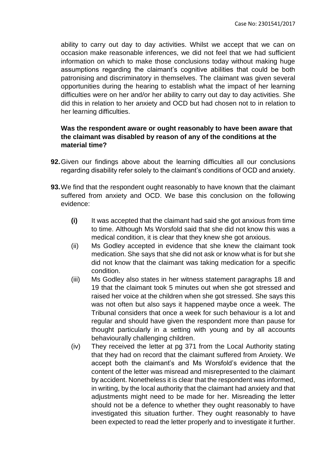ability to carry out day to day activities. Whilst we accept that we can on occasion make reasonable inferences, we did not feel that we had sufficient information on which to make those conclusions today without making huge assumptions regarding the claimant's cognitive abilities that could be both patronising and discriminatory in themselves. The claimant was given several opportunities during the hearing to establish what the impact of her learning difficulties were on her and/or her ability to carry out day to day activities. She did this in relation to her anxiety and OCD but had chosen not to in relation to her learning difficulties.

# **Was the respondent aware or ought reasonably to have been aware that the claimant was disabled by reason of any of the conditions at the material time?**

- **92.**Given our findings above about the learning difficulties all our conclusions regarding disability refer solely to the claimant's conditions of OCD and anxiety.
- **93.**We find that the respondent ought reasonably to have known that the claimant suffered from anxiety and OCD. We base this conclusion on the following evidence:
	- **(i)** It was accepted that the claimant had said she got anxious from time to time. Although Ms Worsfold said that she did not know this was a medical condition, it is clear that they knew she got anxious.
	- (ii) Ms Godley accepted in evidence that she knew the claimant took medication. She says that she did not ask or know what is for but she did not know that the claimant was taking medication for a specific condition.
	- (iii) Ms Godley also states in her witness statement paragraphs 18 and 19 that the claimant took 5 minutes out when she got stressed and raised her voice at the children when she got stressed. She says this was not often but also says it happened maybe once a week. The Tribunal considers that once a week for such behaviour is a lot and regular and should have given the respondent more than pause for thought particularly in a setting with young and by all accounts behaviourally challenging children.
	- (iv) They received the letter at pg 371 from the Local Authority stating that they had on record that the claimant suffered from Anxiety. We accept both the claimant's and Ms Worsfold's evidence that the content of the letter was misread and misrepresented to the claimant by accident. Nonetheless it is clear that the respondent was informed, in writing, by the local authority that the claimant had anxiety and that adjustments might need to be made for her. Misreading the letter should not be a defence to whether they ought reasonably to have investigated this situation further. They ought reasonably to have been expected to read the letter properly and to investigate it further.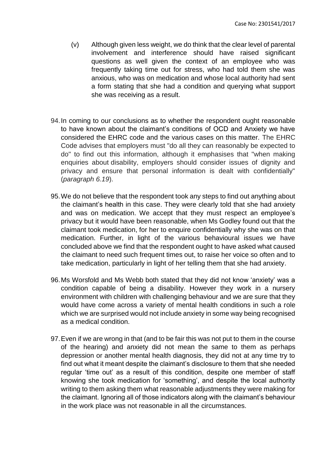- (v) Although given less weight, we do think that the clear level of parental involvement and interference should have raised significant questions as well given the context of an employee who was frequently taking time out for stress, who had told them she was anxious, who was on medication and whose local authority had sent a form stating that she had a condition and querying what support she was receiving as a result.
- 94.In coming to our conclusions as to whether the respondent ought reasonable to have known about the claimant's conditions of OCD and Anxiety we have considered the EHRC code and the various cases on this matter. The EHRC Code advises that employers must "do all they can reasonably be expected to do" to find out this information, although it emphasises that "when making enquiries about disability, employers should consider issues of dignity and privacy and ensure that personal information is dealt with confidentially" (*paragraph 6.19*).
- 95.We do not believe that the respondent took any steps to find out anything about the claimant's health in this case. They were clearly told that she had anxiety and was on medication. We accept that they must respect an employee's privacy but it would have been reasonable, when Ms Godley found out that the claimant took medication, for her to enquire confidentially why she was on that medication. Further, in light of the various behavioural issues we have concluded above we find that the respondent ought to have asked what caused the claimant to need such frequent times out, to raise her voice so often and to take medication, particularly in light of her telling them that she had anxiety.
- 96.Ms Worsfold and Ms Webb both stated that they did not know 'anxiety' was a condition capable of being a disability. However they work in a nursery environment with children with challenging behaviour and we are sure that they would have come across a variety of mental health conditions in such a role which we are surprised would not include anxiety in some way being recognised as a medical condition.
- 97.Even if we are wrong in that (and to be fair this was not put to them in the course of the hearing) and anxiety did not mean the same to them as perhaps depression or another mental health diagnosis, they did not at any time try to find out what it meant despite the claimant's disclosure to them that she needed regular 'time out' as a result of this condition, despite one member of staff knowing she took medication for 'something', and despite the local authority writing to them asking them what reasonable adjustments they were making for the claimant. Ignoring all of those indicators along with the claimant's behaviour in the work place was not reasonable in all the circumstances.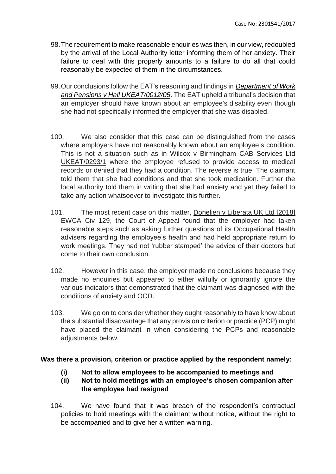- 98.The requirement to make reasonable enquiries was then, in our view, redoubled by the arrival of the Local Authority letter informing them of her anxiety. Their failure to deal with this properly amounts to a failure to do all that could reasonably be expected of them in the circumstances.
- 99.Our conclusions follow the EAT's reasoning and findings in *[Department of Work](https://uk.practicallaw.thomsonreuters.com/D-007-2030?originationContext=document&transitionType=PLDocumentLink&contextData=(sc.Default))  [and Pensions v Hall UKEAT/0012/05](https://uk.practicallaw.thomsonreuters.com/D-007-2030?originationContext=document&transitionType=PLDocumentLink&contextData=(sc.Default))*. The EAT upheld a tribunal's decision that an employer should have known about an employee's disability even though she had not specifically informed the employer that she was disabled.
- 100. We also consider that this case can be distinguished from the cases where employers have not reasonably known about an employee's condition. This is not a situation such as in Wilcox v Birmingham CAB Services Ltd UKEAT/0293/1 where the employee refused to provide access to medical records or denied that they had a condition. The reverse is true. The claimant told them that she had conditions and that she took medication. Further the local authority told them in writing that she had anxiety and yet they failed to take any action whatsoever to investigate this further.
- 101. The most recent case on this matter, Donelien v Liberata UK Ltd [2018] EWCA Civ 129, the Court of Appeal found that the employer had taken reasonable steps such as asking further questions of its Occupational Health advisers regarding the employee's health and had held appropriate return to work meetings. They had not 'rubber stamped' the advice of their doctors but come to their own conclusion.
- 102. However in this case, the employer made no conclusions because they made no enquiries but appeared to either wilfully or ignorantly ignore the various indicators that demonstrated that the claimant was diagnosed with the conditions of anxiety and OCD.
- 103. We go on to consider whether they ought reasonably to have know about the substantial disadvantage that any provision criterion or practice (PCP) might have placed the claimant in when considering the PCPs and reasonable adjustments below.

# **Was there a provision, criterion or practice applied by the respondent namely:**

- **(i) Not to allow employees to be accompanied to meetings and**
- **(ii) Not to hold meetings with an employee's chosen companion after the employee had resigned**
- 104. We have found that it was breach of the respondent's contractual policies to hold meetings with the claimant without notice, without the right to be accompanied and to give her a written warning.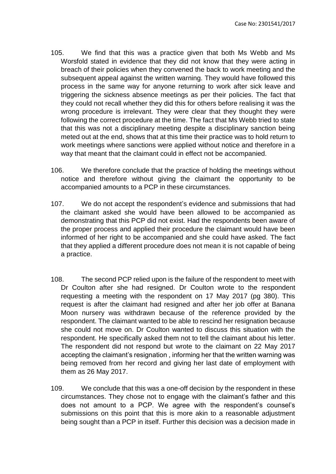- 105. We find that this was a practice given that both Ms Webb and Ms Worsfold stated in evidence that they did not know that they were acting in breach of their policies when they convened the back to work meeting and the subsequent appeal against the written warning. They would have followed this process in the same way for anyone returning to work after sick leave and triggering the sickness absence meetings as per their policies. The fact that they could not recall whether they did this for others before realising it was the wrong procedure is irrelevant. They were clear that they thought they were following the correct procedure at the time. The fact that Ms Webb tried to state that this was not a disciplinary meeting despite a disciplinary sanction being meted out at the end, shows that at this time their practice was to hold return to work meetings where sanctions were applied without notice and therefore in a way that meant that the claimant could in effect not be accompanied.
- 106. We therefore conclude that the practice of holding the meetings without notice and therefore without giving the claimant the opportunity to be accompanied amounts to a PCP in these circumstances.
- 107. We do not accept the respondent's evidence and submissions that had the claimant asked she would have been allowed to be accompanied as demonstrating that this PCP did not exist. Had the respondents been aware of the proper process and applied their procedure the claimant would have been informed of her right to be accompanied and she could have asked. The fact that they applied a different procedure does not mean it is not capable of being a practice.
- 108. The second PCP relied upon is the failure of the respondent to meet with Dr Coulton after she had resigned. Dr Coulton wrote to the respondent requesting a meeting with the respondent on 17 May 2017 (pg 380). This request is after the claimant had resigned and after her job offer at Banana Moon nursery was withdrawn because of the reference provided by the respondent. The claimant wanted to be able to rescind her resignation because she could not move on. Dr Coulton wanted to discuss this situation with the respondent. He specifically asked them not to tell the claimant about his letter. The respondent did not respond but wrote to the claimant on 22 May 2017 accepting the claimant's resignation , informing her that the written warning was being removed from her record and giving her last date of employment with them as 26 May 2017.
- 109. We conclude that this was a one-off decision by the respondent in these circumstances. They chose not to engage with the claimant's father and this does not amount to a PCP. We agree with the respondent's counsel's submissions on this point that this is more akin to a reasonable adjustment being sought than a PCP in itself. Further this decision was a decision made in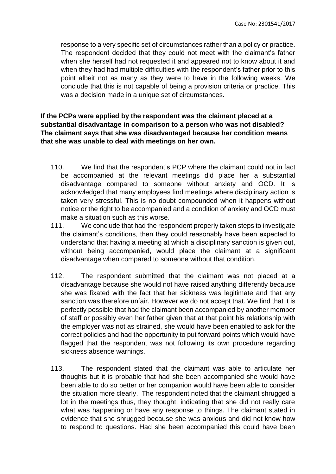response to a very specific set of circumstances rather than a policy or practice. The respondent decided that they could not meet with the claimant's father when she herself had not requested it and appeared not to know about it and when they had had multiple difficulties with the respondent's father prior to this point albeit not as many as they were to have in the following weeks. We conclude that this is not capable of being a provision criteria or practice. This was a decision made in a unique set of circumstances.

# **If the PCPs were applied by the respondent was the claimant placed at a substantial disadvantage in comparison to a person who was not disabled? The claimant says that she was disadvantaged because her condition means that she was unable to deal with meetings on her own.**

- 110. We find that the respondent's PCP where the claimant could not in fact be accompanied at the relevant meetings did place her a substantial disadvantage compared to someone without anxiety and OCD. It is acknowledged that many employees find meetings where disciplinary action is taken very stressful. This is no doubt compounded when it happens without notice or the right to be accompanied and a condition of anxiety and OCD must make a situation such as this worse.
- 111. We conclude that had the respondent properly taken steps to investigate the claimant's conditions, then they could reasonably have been expected to understand that having a meeting at which a disciplinary sanction is given out, without being accompanied, would place the claimant at a significant disadvantage when compared to someone without that condition.
- 112. The respondent submitted that the claimant was not placed at a disadvantage because she would not have raised anything differently because she was fixated with the fact that her sickness was legitimate and that any sanction was therefore unfair. However we do not accept that. We find that it is perfectly possible that had the claimant been accompanied by another member of staff or possibly even her father given that at that point his relationship with the employer was not as strained, she would have been enabled to ask for the correct policies and had the opportunity to put forward points which would have flagged that the respondent was not following its own procedure regarding sickness absence warnings.
- 113. The respondent stated that the claimant was able to articulate her thoughts but it is probable that had she been accompanied she would have been able to do so better or her companion would have been able to consider the situation more clearly. The respondent noted that the claimant shrugged a lot in the meetings thus, they thought, indicating that she did not really care what was happening or have any response to things. The claimant stated in evidence that she shrugged because she was anxious and did not know how to respond to questions. Had she been accompanied this could have been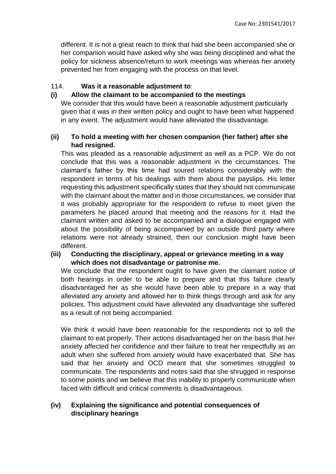different. It is not a great reach to think that had she been accompanied she or her companion would have asked why she was being disciplined and what the policy for sickness absence/return to work meetings was whereas her anxiety prevented her from engaging with the process on that level.

#### 114. **Was it a reasonable adjustment to**:

#### **(i) Allow the claimant to be accompanied to the meetings**

We consider that this would have been a reasonable adjustment particularly given that it was in their written policy and ought to have been what happened in any event. The adjustment would have alleviated the disadvantage.

#### **(ii) To hold a meeting with her chosen companion (her father) after she had resigned.**

This was pleaded as a reasonable adjustment as well as a PCP. We do not conclude that this was a reasonable adjustment in the circumstances. The claimant's father by this time had soured relations considerably with the respondent in terms of his dealings with them about the payslips. His letter requesting this adjustment specifically states that they should not communicate with the claimant about the matter and in those circumstances, we consider that it was probably appropriate for the respondent to refuse to meet given the parameters he placed around that meeting and the reasons for it. Had the claimant written and asked to be accompanied and a dialogue engaged with about the possibility of being accompanied by an outside third party where relations were not already strained, then our conclusion might have been different.

# **(iii) Conducting the disciplinary, appeal or grievance meeting in a way which does not disadvantage or patronise me.**

We conclude that the respondent ought to have given the claimant notice of both hearings in order to be able to prepare and that this failure clearly disadvantaged her as she would have been able to prepare in a way that alleviated any anxiety and allowed her to think things through and ask for any policies. This adjustment could have alleviated any disadvantage she suffered as a result of not being accompanied.

We think it would have been reasonable for the respondents not to tell the claimant to eat properly. Their actions disadvantaged her on the basis that her anxiety affected her confidence and their failure to treat her respectfully as an adult when she suffered from anxiety would have exacerbated that. She has said that her anxiety and OCD meant that she sometimes struggled to communicate. The respondents and notes said that she shrugged in response to some points and we believe that this inability to properly communicate when faced with difficult and critical comments is disadvantageous.

# **(iv) Explaining the significance and potential consequences of disciplinary hearings**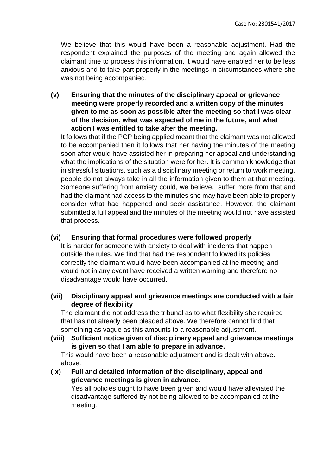We believe that this would have been a reasonable adjustment. Had the respondent explained the purposes of the meeting and again allowed the claimant time to process this information, it would have enabled her to be less anxious and to take part properly in the meetings in circumstances where she was not being accompanied.

**(v) Ensuring that the minutes of the disciplinary appeal or grievance meeting were properly recorded and a written copy of the minutes given to me as soon as possible after the meeting so that I was clear of the decision, what was expected of me in the future, and what action I was entitled to take after the meeting.** 

It follows that if the PCP being applied meant that the claimant was not allowed to be accompanied then it follows that her having the minutes of the meeting soon after would have assisted her in preparing her appeal and understanding what the implications of the situation were for her. It is common knowledge that in stressful situations, such as a disciplinary meeting or return to work meeting, people do not always take in all the information given to them at that meeting. Someone suffering from anxiety could, we believe, suffer more from that and had the claimant had access to the minutes she may have been able to properly consider what had happened and seek assistance. However, the claimant submitted a full appeal and the minutes of the meeting would not have assisted that process.

#### **(vi) Ensuring that formal procedures were followed properly**

It is harder for someone with anxiety to deal with incidents that happen outside the rules. We find that had the respondent followed its policies correctly the claimant would have been accompanied at the meeting and would not in any event have received a written warning and therefore no disadvantage would have occurred.

**(vii) Disciplinary appeal and grievance meetings are conducted with a fair degree of flexibility**

The claimant did not address the tribunal as to what flexibility she required that has not already been pleaded above. We therefore cannot find that something as vague as this amounts to a reasonable adjustment.

**(viii) Sufficient notice given of disciplinary appeal and grievance meetings is given so that I am able to prepare in advance.**

This would have been a reasonable adjustment and is dealt with above. above.

**(ix) Full and detailed information of the disciplinary, appeal and grievance meetings is given in advance.**

Yes all policies ought to have been given and would have alleviated the disadvantage suffered by not being allowed to be accompanied at the meeting.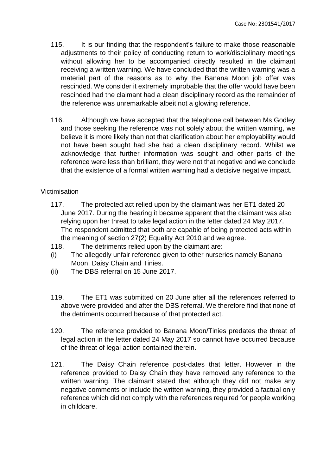- 115. It is our finding that the respondent's failure to make those reasonable adjustments to their policy of conducting return to work/disciplinary meetings without allowing her to be accompanied directly resulted in the claimant receiving a written warning. We have concluded that the written warning was a material part of the reasons as to why the Banana Moon job offer was rescinded. We consider it extremely improbable that the offer would have been rescinded had the claimant had a clean disciplinary record as the remainder of the reference was unremarkable albeit not a glowing reference.
- 116. Although we have accepted that the telephone call between Ms Godley and those seeking the reference was not solely about the written warning, we believe it is more likely than not that clarification about her employability would not have been sought had she had a clean disciplinary record. Whilst we acknowledge that further information was sought and other parts of the reference were less than brilliant, they were not that negative and we conclude that the existence of a formal written warning had a decisive negative impact.

#### Victimisation

- 117. The protected act relied upon by the claimant was her ET1 dated 20 June 2017. During the hearing it became apparent that the claimant was also relying upon her threat to take legal action in the letter dated 24 May 2017. The respondent admitted that both are capable of being protected acts within the meaning of section 27(2) Equality Act 2010 and we agree.
- 118. The detriments relied upon by the claimant are:
- (i) The allegedly unfair reference given to other nurseries namely Banana Moon, Daisy Chain and Tinies.
- (ii) The DBS referral on 15 June 2017.
- 119. The ET1 was submitted on 20 June after all the references referred to above were provided and after the DBS referral. We therefore find that none of the detriments occurred because of that protected act.
- 120. The reference provided to Banana Moon/Tinies predates the threat of legal action in the letter dated 24 May 2017 so cannot have occurred because of the threat of legal action contained therein.
- 121. The Daisy Chain reference post-dates that letter. However in the reference provided to Daisy Chain they have removed any reference to the written warning. The claimant stated that although they did not make any negative comments or include the written warning, they provided a factual only reference which did not comply with the references required for people working in childcare.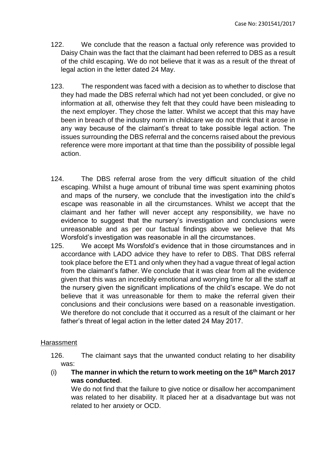- 122. We conclude that the reason a factual only reference was provided to Daisy Chain was the fact that the claimant had been referred to DBS as a result of the child escaping. We do not believe that it was as a result of the threat of legal action in the letter dated 24 May.
- 123. The respondent was faced with a decision as to whether to disclose that they had made the DBS referral which had not yet been concluded, or give no information at all, otherwise they felt that they could have been misleading to the next employer. They chose the latter. Whilst we accept that this may have been in breach of the industry norm in childcare we do not think that it arose in any way because of the claimant's threat to take possible legal action. The issues surrounding the DBS referral and the concerns raised about the previous reference were more important at that time than the possibility of possible legal action.
- 124. The DBS referral arose from the very difficult situation of the child escaping. Whilst a huge amount of tribunal time was spent examining photos and maps of the nursery, we conclude that the investigation into the child's escape was reasonable in all the circumstances. Whilst we accept that the claimant and her father will never accept any responsibility, we have no evidence to suggest that the nursery's investigation and conclusions were unreasonable and as per our factual findings above we believe that Ms Worsfold's investigation was reasonable in all the circumstances.
- 125. We accept Ms Worsfold's evidence that in those circumstances and in accordance with LADO advice they have to refer to DBS. That DBS referral took place before the ET1 and only when they had a vague threat of legal action from the claimant's father. We conclude that it was clear from all the evidence given that this was an incredibly emotional and worrying time for all the staff at the nursery given the significant implications of the child's escape. We do not believe that it was unreasonable for them to make the referral given their conclusions and their conclusions were based on a reasonable investigation. We therefore do not conclude that it occurred as a result of the claimant or her father's threat of legal action in the letter dated 24 May 2017.

#### Harassment

126. The claimant says that the unwanted conduct relating to her disability was:

(i) **The manner in which the return to work meeting on the 16th March 2017 was conducted**.

We do not find that the failure to give notice or disallow her accompaniment was related to her disability. It placed her at a disadvantage but was not related to her anxiety or OCD.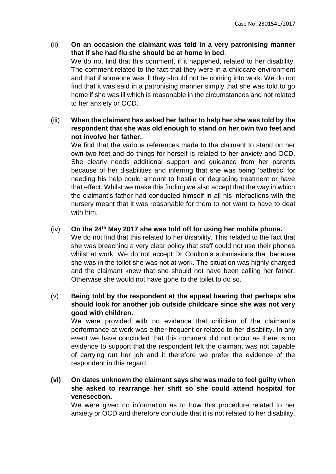- (ii) **On an occasion the claimant was told in a very patronising manner that if she had flu she should be at home in bed**. We do not find that this comment, if it happened, related to her disability. The comment related to the fact that they were in a childcare environment and that if someone was ill they should not be coming into work. We do not find that it was said in a patronising manner simply that she was told to go home if she was ill which is reasonable in the circumstances and not related to her anxiety or OCD.
- (iii) **When the claimant has asked her father to help her she was told by the respondent that she was old enough to stand on her own two feet and not involve her father.**

We find that the various references made to the claimant to stand on her own two feet and do things for herself is related to her anxiety and OCD. She clearly needs additional support and guidance from her parents because of her disabilities and inferring that she was being 'pathetic' for needing his help could amount to hostile or degrading treatment or have that effect. Whilst we make this finding we also accept that the way in which the claimant's father had conducted himself in all his interactions with the nursery meant that it was reasonable for them to not want to have to deal with him.

# (iv) **On the 24th May 2017 she was told off for using her mobile phone.**

We do not find that this related to her disability. This related to the fact that she was breaching a very clear policy that staff could not use their phones whilst at work. We do not accept Dr Coulton's submissions that because she was in the toilet she was not at work. The situation was highly charged and the claimant knew that she should not have been calling her father. Otherwise she would not have gone to the toilet to do so.

# (v) **Being told by the respondent at the appeal hearing that perhaps she should look for another job outside childcare since she was not very good with children.**

We were provided with no evidence that criticism of the claimant's performance at work was either frequent or related to her disability. In any event we have concluded that this comment did not occur as there is no evidence to support that the respondent felt the claimant was not capable of carrying out her job and it therefore we prefer the evidence of the respondent in this regard.

**(vi) On dates unknown the claimant says she was made to feel guilty when she asked to rearrange her shift so she could attend hospital for venesection.**

We were given no information as to how this procedure related to her anxiety or OCD and therefore conclude that it is not related to her disability.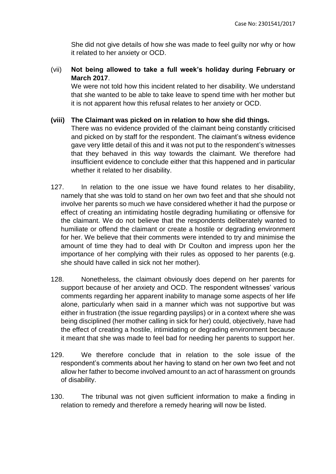She did not give details of how she was made to feel guilty nor why or how it related to her anxiety or OCD.

(vii) **Not being allowed to take a full week's holiday during February or March 2017**.

We were not told how this incident related to her disability. We understand that she wanted to be able to take leave to spend time with her mother but it is not apparent how this refusal relates to her anxiety or OCD.

# **(viii) The Claimant was picked on in relation to how she did things.**

There was no evidence provided of the claimant being constantly criticised and picked on by staff for the respondent. The claimant's witness evidence gave very little detail of this and it was not put to the respondent's witnesses that they behaved in this way towards the claimant. We therefore had insufficient evidence to conclude either that this happened and in particular whether it related to her disability.

- 127. In relation to the one issue we have found relates to her disability, namely that she was told to stand on her own two feet and that she should not involve her parents so much we have considered whether it had the purpose or effect of creating an intimidating hostile degrading humiliating or offensive for the claimant. We do not believe that the respondents deliberately wanted to humiliate or offend the claimant or create a hostile or degrading environment for her. We believe that their comments were intended to try and minimise the amount of time they had to deal with Dr Coulton and impress upon her the importance of her complying with their rules as opposed to her parents (e.g. she should have called in sick not her mother).
- 128. Nonetheless, the claimant obviously does depend on her parents for support because of her anxiety and OCD. The respondent witnesses' various comments regarding her apparent inability to manage some aspects of her life alone, particularly when said in a manner which was not supportive but was either in frustration (the issue regarding payslips) or in a context where she was being disciplined (her mother calling in sick for her) could, objectively, have had the effect of creating a hostile, intimidating or degrading environment because it meant that she was made to feel bad for needing her parents to support her.
- 129. We therefore conclude that in relation to the sole issue of the respondent's comments about her having to stand on her own two feet and not allow her father to become involved amount to an act of harassment on grounds of disability.
- 130. The tribunal was not given sufficient information to make a finding in relation to remedy and therefore a remedy hearing will now be listed.